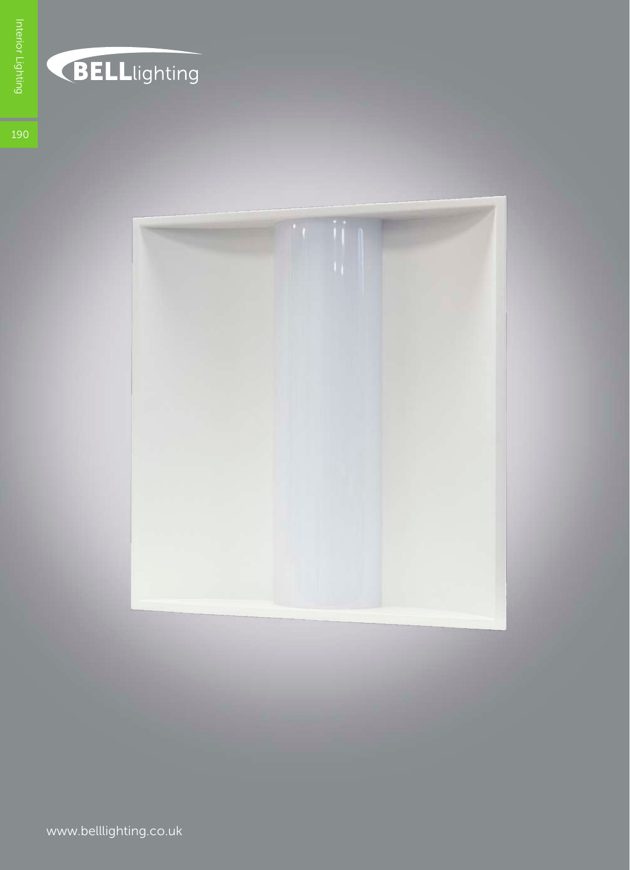

## BELLlighting

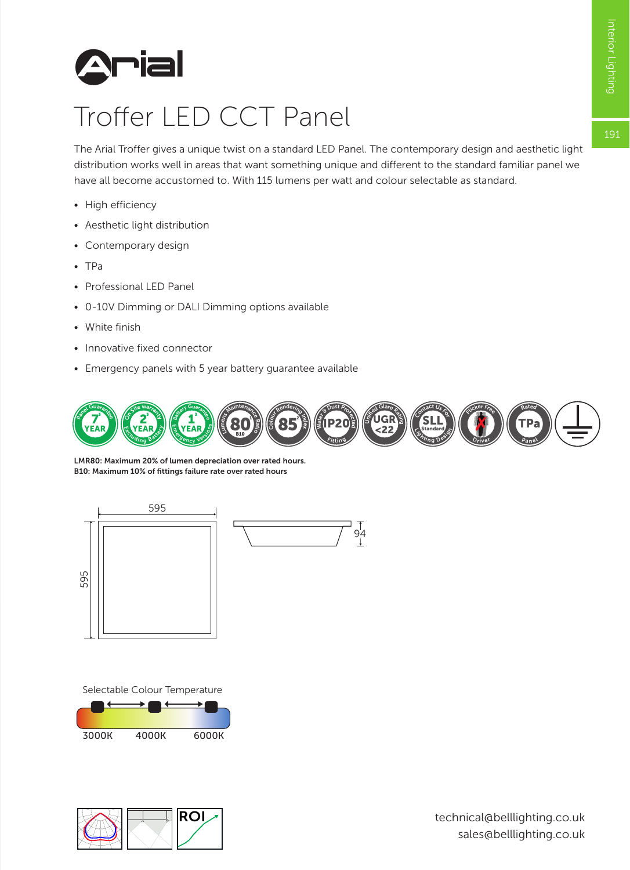191



## Troffer LED CCT Panel

The Arial Troffer gives a unique twist on a standard LED Panel. The contemporary design and aesthetic light distribution works well in areas that want something unique and different to the standard familiar panel we have all become accustomed to. With 115 lumens per watt and colour selectable as standard.

- High efficiency
- Aesthetic light distribution
- Contemporary design
- TPa
- Professional LED Panel
- 0-10V Dimming or DALI Dimming options available
- White finish
- Innovative fixed connector
- Emergency panels with 5 year battery guarantee available



LMR80: Maximum 20% of lumen depreciation over rated hours. B10: Maximum 10% of fittings failure rate over rated hours



Selectable Colour Temperature



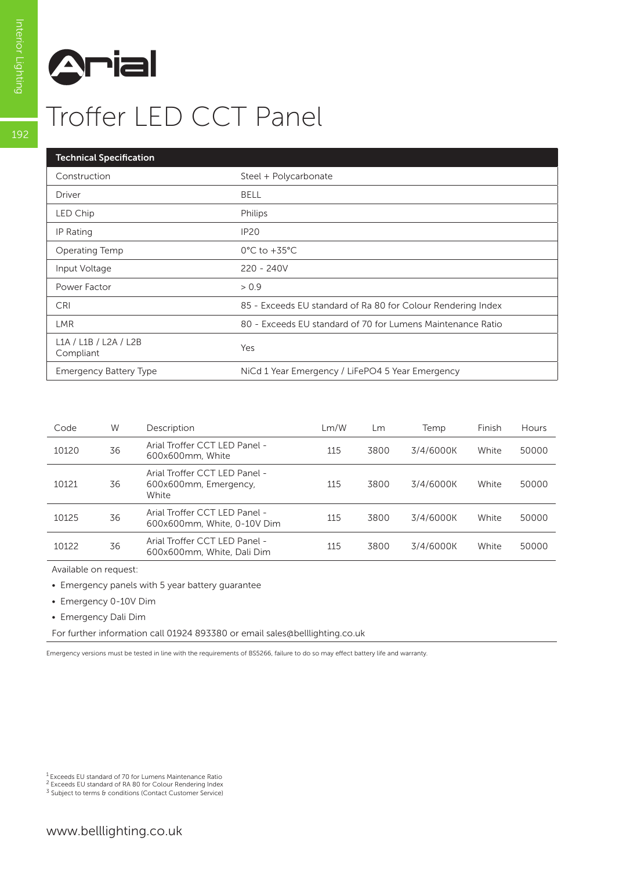

| <b>Technical Specification</b>     |                                                              |
|------------------------------------|--------------------------------------------------------------|
| Construction                       | Steel + Polycarbonate                                        |
| Driver                             | <b>BELL</b>                                                  |
| LED Chip                           | Philips                                                      |
| IP Rating                          | <b>IP20</b>                                                  |
| Operating Temp                     | $0^{\circ}$ C to +35 $^{\circ}$ C                            |
| Input Voltage                      | $220 - 240V$                                                 |
| Power Factor                       | > 0.9                                                        |
| <b>CRI</b>                         | 85 - Exceeds EU standard of Ra 80 for Colour Rendering Index |
| <b>LMR</b>                         | 80 - Exceeds EU standard of 70 for Lumens Maintenance Ratio  |
| L1A / L1B / L2A / L2B<br>Compliant | Yes                                                          |
| <b>Emergency Battery Type</b>      | NiCd 1 Year Emergency / LiFePO4 5 Year Emergency             |

| Code  | W  | Description                                                     | Lm/W | Lm   | Temp      | Finish | Hours |
|-------|----|-----------------------------------------------------------------|------|------|-----------|--------|-------|
| 10120 | 36 | Arial Troffer CCT LED Panel -<br>600x600mm, White               | 115  | 3800 | 3/4/6000K | White  | 50000 |
| 10121 | 36 | Arial Troffer CCT LED Panel -<br>600x600mm, Emergency,<br>White | 115  | 3800 | 3/4/6000K | White  | 50000 |
| 10125 | 36 | Arial Troffer CCT LED Panel -<br>600x600mm, White, 0-10V Dim    | 115  | 3800 | 3/4/6000K | White  | 50000 |
| 10122 | 36 | Arial Troffer CCT LED Panel -<br>600x600mm, White, Dali Dim     | 115  | 3800 | 3/4/6000K | White  | 50000 |

Available on request:

• Emergency panels with 5 year battery guarantee

• Emergency 0-10V Dim

• Emergency Dali Dim

For further information call 01924 893380 or email sales@belllighting.co.uk

Emergency versions must be tested in line with the requirements of BS5266, failure to do so may effect battery life and warranty.

1 Exceeds EU standard of 70 for Lumens Maintenance Ratio

2 Exceeds EU standard of RA 80 for Colour Rendering Index <sup>3</sup> Subject to terms & conditions (Contact Customer Service)

192